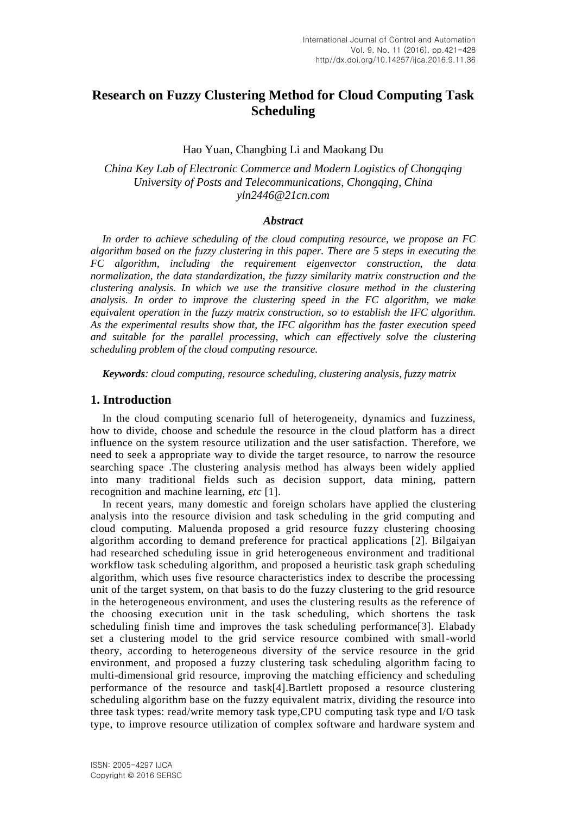# **Research on Fuzzy Clustering Method for Cloud Computing Task Scheduling**

## Hao Yuan, Changbing Li and Maokang Du

*China Key Lab of Electronic Commerce and Modern Logistics of Chongqing University of Posts and Telecommunications, Chongqing, China yln2446@21cn.com*

#### *Abstract*

*In order to achieve scheduling of the cloud computing resource, we propose an FC algorithm based on the fuzzy clustering in this paper. There are 5 steps in executing the FC algorithm, including the requirement eigenvector construction, the data normalization, the data standardization, the fuzzy similarity matrix construction and the clustering analysis. In which we use the transitive closure method in the clustering analysis. In order to improve the clustering speed in the FC algorithm, we make equivalent operation in the fuzzy matrix construction, so to establish the IFC algorithm. As the experimental results show that, the IFC algorithm has the faster execution speed and suitable for the parallel processing, which can effectively solve the clustering scheduling problem of the cloud computing resource.*

*Keywords: cloud computing, resource scheduling, clustering analysis, fuzzy matrix*

## **1. Introduction**

In the cloud computing scenario full of heterogeneity, dynamics and fuzziness, how to divide, choose and schedule the resource in the cloud platform has a direct influence on the system resource utilization and the user satisfaction. Therefore, we need to seek a appropriate way to divide the target resource, to narrow the resource searching space .The clustering analysis method has always been widely applied into many traditional fields such as decision support, data mining, pattern recognition and machine learning, *etc* [1].

In recent years, many domestic and foreign scholars have applied the clustering analysis into the resource division and task scheduling in the grid computing and cloud computing. Maluenda proposed a grid resource fuzzy clustering choosing algorithm according to demand preference for practical applications [2]. Bilgaiyan had researched scheduling issue in grid heterogeneous environment and traditional workflow task scheduling algorithm, and proposed a heuristic task graph scheduling algorithm, which uses five resource characteristics index to describe the processing unit of the target system, on that basis to do the fuzzy clustering to the grid resource in the heterogeneous environment, and uses the clustering results as the reference of the choosing execution unit in the task scheduling, which shortens the task scheduling finish time and improves the task scheduling performance[3]. Elabady set a clustering model to the grid service resource combined with small-world theory, according to heterogeneous diversity of the service resource in the grid environment, and proposed a fuzzy clustering task scheduling algorithm facing to multi-dimensional grid resource, improving the matching efficiency and scheduling performance of the resource and task[4].Bartlett proposed a resource clustering scheduling algorithm base on the fuzzy equivalent matrix, dividing the resource into three task types: read/write memory task type,CPU computing task type and I/O task type, to improve resource utilization of complex software and hardware system and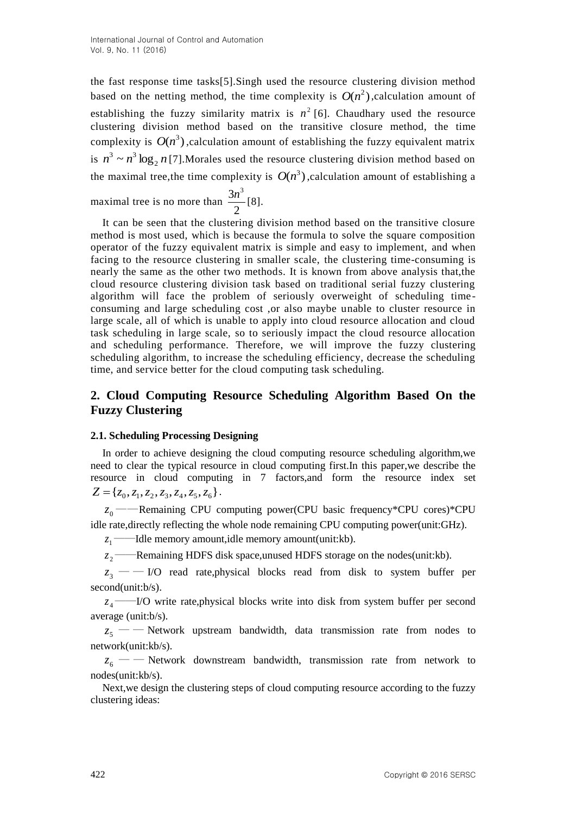the fast response time tasks[5].Singh used the resource clustering division method based on the netting method, the time complexity is  $O(n^2)$ , calculation amount of establishing the fuzzy similarity matrix is  $n^2$  [6]. Chaudhary used the resource clustering division method based on the transitive closure method, the time complexity is  $O(n^3)$ , calculation amount of establishing the fuzzy equivalent matrix is  $n^3 \sim n^3 \log_2 n$  [7]. Morales used the resource clustering division method based on the maximal tree, the time complexity is  $O(n^3)$ , calculation amount of establishing a

maximal tree is no more than  $\frac{3n}{2}$  $\frac{3n^3}{1}$ [8].

It can be seen that the clustering division method based on the transitive closure method is most used, which is because the formula to solve the square composition operator of the fuzzy equivalent matrix is simple and easy to implement, and when facing to the resource clustering in smaller scale, the clustering time-consuming is nearly the same as the other two methods. It is known from above analysis that,the cloud resource clustering division task based on traditional serial fuzzy clustering algorithm will face the problem of seriously overweight of scheduling time consuming and large scheduling cost ,or also maybe unable to cluster resource in large scale, all of which is unable to apply into cloud resource allocation and cloud task scheduling in large scale, so to seriously impact the cloud resource allocation and scheduling performance. Therefore, we will improve the fuzzy clustering scheduling algorithm, to increase the scheduling efficiency, decrease the scheduling time, and service better for the cloud computing task scheduling.

# **2. Cloud Computing Resource Scheduling Algorithm Based On the Fuzzy Clustering**

# **2.1. Scheduling Processing Designing**

In order to achieve designing the cloud computing resource scheduling algorithm,we need to clear the typical resource in cloud computing first.In this paper,we describe the resource in cloud computing in 7 factors,and form the resource index set  $Z = \{z_0, z_1, z_2, z_3, z_4, z_5, z_6\}.$ 

0 *z* ——Remaining CPU computing power(CPU basic frequency\*CPU cores)\*CPU idle rate,directly reflecting the whole node remaining CPU computing power(unit:GHz).

 $z_1$  ——Idle memory amount,idle memory amount(unit:kb).

 $z_{2}$  – *<u></u>* —Remaining HDFS disk space,unused HDFS storage on the nodes(unit:kb).

3 *z* — — I/O read rate,physical blocks read from disk to system buffer per second(unit:b/s).

4 *z* ——I/O write rate,physical blocks write into disk from system buffer per second average (unit:b/s).

5 *z* — — Network upstream bandwidth, data transmission rate from nodes to network(unit:kb/s).

 $z_6$  — — Network downstream bandwidth, transmission rate from network to nodes(unit:kb/s).

Next,we design the clustering steps of cloud computing resource according to the fuzzy clustering ideas: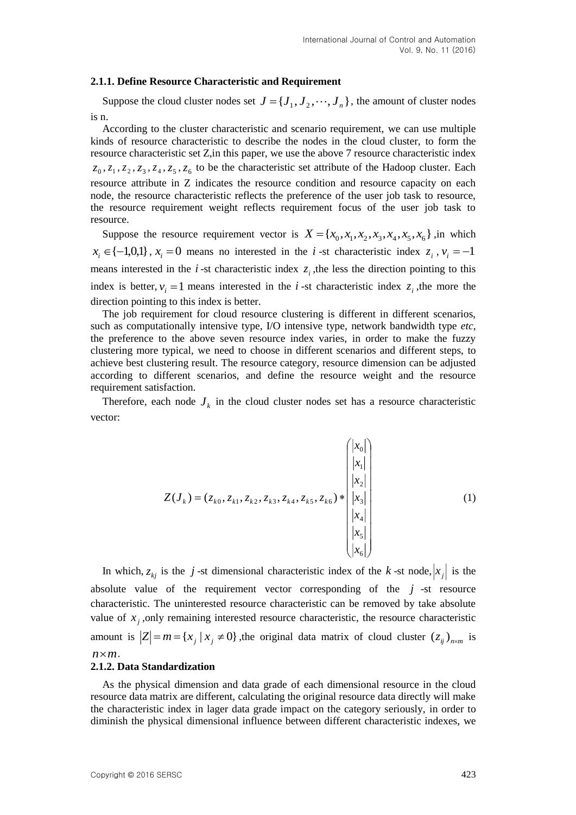#### **2.1.1. Define Resource Characteristic and Requirement**

Suppose the cloud cluster nodes set  $J = \{J_1, J_2, \dots, J_n\}$ , the amount of cluster nodes is n.

According to the cluster characteristic and scenario requirement, we can use multiple kinds of resource characteristic to describe the nodes in the cloud cluster, to form the resource characteristic set Z,in this paper, we use the above 7 resource characteristic index  $z_0$ ,  $z_1$ ,  $z_2$ ,  $z_3$ ,  $z_4$ ,  $z_5$ ,  $z_6$  to be the characteristic set attribute of the Hadoop cluster. Each resource attribute in Z indicates the resource condition and resource capacity on each node, the resource characteristic reflects the preference of the user job task to resource, the resource requirement weight reflects requirement focus of the user job task to resource.

Suppose the resource requirement vector is  $X = \{x_0, x_1, x_2, x_3, x_4, x_5, x_6\}$ , in which  $x_i \in \{-1,0,1\}$ ,  $x_i = 0$  means no interested in the *i*-st characteristic index  $z_i$ ,  $v_i = -1$ means interested in the  $i$ -st characteristic index  $z_i$ , the less the direction pointing to this index is better,  $v_i = 1$  means interested in the *i*-st characteristic index  $z_i$ , the more the direction pointing to this index is better.

The job requirement for cloud resource clustering is different in different scenarios, such as computationally intensive type, I/O intensive type, network bandwidth type *etc*, the preference to the above seven resource index varies, in order to make the fuzzy clustering more typical, we need to choose in different scenarios and different steps, to achieve best clustering result. The resource category, resource dimension can be adjusted according to different scenarios, and define the resource weight and the resource requirement satisfaction.

Therefore, each node  $J_k$  in the cloud cluster nodes set has a resource characteristic vector:

$$
Z(J_k) = (z_{k0}, z_{k1}, z_{k2}, z_{k3}, z_{k4}, z_{k5}, z_{k6}) * \begin{pmatrix} |x_0| \\ |x_1| \\ |x_2| \\ |x_3| \\ |x_4| \\ |x_5| \\ |x_6| \end{pmatrix}
$$
 (1)

In which,  $z_{kj}$  is the *j*-st dimensional characteristic index of the *k*-st node,  $|x_j|$  is the absolute value of the requirement vector corresponding of the  $j$ -st resource characteristic. The uninterested resource characteristic can be removed by take absolute value of  $x_j$ , only remaining interested resource characteristic, the resource characteristic amount is  $|Z| = m = \{x_j | x_j \neq 0\}$ , the original data matrix of cloud cluster  $(z_{ij})_{n \times m}$  is  $n \times m$ .

#### **2.1.2. Data Standardization**

As the physical dimension and data grade of each dimensional resource in the cloud resource data matrix are different, calculating the original resource data directly will make the characteristic index in lager data grade impact on the category seriously, in order to diminish the physical dimensional influence between different characteristic indexes, we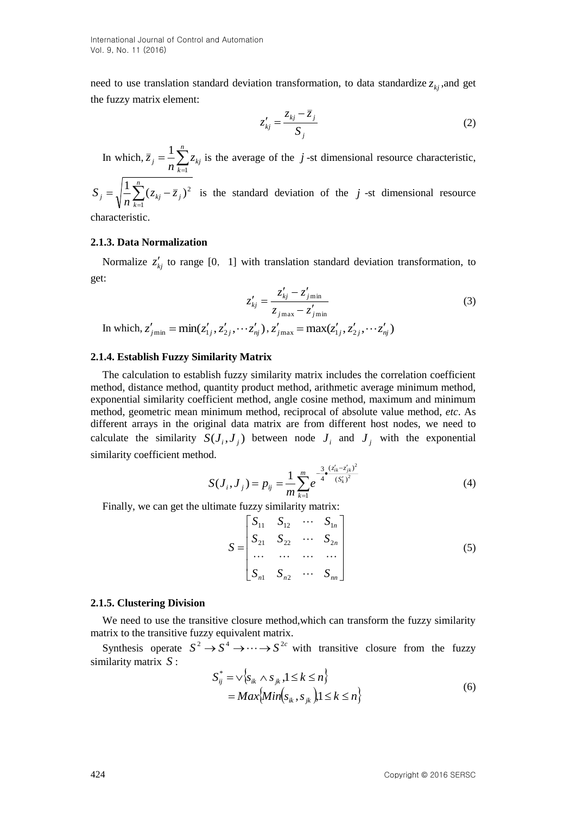International Journal of Control and Automation Vol. 9, No. 11 (2016)

need to use translation standard deviation transformation, to data standardize  $z_{kj}$ , and get the fuzzy matrix element:

$$
z'_{kj} = \frac{z_{kj} - \overline{z}_j}{S_j}
$$
 (2)

In which,  $\overline{z}_j = \frac{1}{n} \sum_{k=1}^n$ ᆖ  $j = -\sum_{k=1}^{n} z_{kj}$ *z* 1  $\frac{1}{n} \sum_{i=1}^{n} z_{ki}$  is the average of the *j*-st dimensional resource characteristic,

$$
S_j = \sqrt{\frac{1}{n} \sum_{k=1}^{n} (z_{kj} - \overline{z}_j)^2}
$$
 is the standard deviation of the j-st dimensional resource

characteristic.

#### **2.1.3. Data Normalization**

Normalize  $z'_{kj}$  to range [0, 1] with translation standard deviation transformation, to get:

$$
z'_{kj} = \frac{z'_{kj} - z'_{j\min}}{z_{j\max} - z'_{j\min}}
$$
(3)

In which,  $z'_{jmin} = min(z'_{1j}, z'_{2j}, \dots z'_{nj}), z'_{jmax} = max(z'_{1j}, z'_{2j}, \dots z'_{nj})$ 

## **2.1.4. Establish Fuzzy Similarity Matrix**

The calculation to establish fuzzy similarity matrix includes the correlation coefficient method, distance method, quantity product method, arithmetic average minimum method, exponential similarity coefficient method, angle cosine method, maximum and minimum method, geometric mean minimum method, reciprocal of absolute value method, *etc*. As different arrays in the original data matrix are from different host nodes, we need to calculate the similarity  $S(J_i, J_j)$  between node  $J_i$  and  $J_j$  with the exponential similarity coefficient method.

$$
S(J_i, J_j) = p_{ij} = \frac{1}{m} \sum_{k=1}^{m} e^{-\frac{3}{4} \cdot \frac{(z'_{ik} - z'_{jk})^2}{(S'_k)^2}}
$$
(4)

Finally, we can get the ultimate fuzzy similarity matrix:

$$
S = \begin{bmatrix} S_{11} & S_{12} & \cdots & S_{1n} \\ S_{21} & S_{22} & \cdots & S_{2n} \\ \vdots & \vdots & \ddots & \vdots \\ S_{n1} & S_{n2} & \cdots & S_{nn} \end{bmatrix} \tag{5}
$$

#### **2.1.5. Clustering Division**

We need to use the transitive closure method,which can transform the fuzzy similarity matrix to the transitive fuzzy equivalent matrix.

Synthesis operate  $S^2 \to S^4 \to \cdots \to S^{2c}$  with transitive closure from the fuzzy similarity matrix *S* :

$$
S_{ij}^* = \sqrt{\{s_{ik} \wedge s_{jk}, 1 \le k \le n\}}
$$
  
= 
$$
Max\{Min(s_{ik}, s_{jk}), 1 \le k \le n\}
$$
 (6)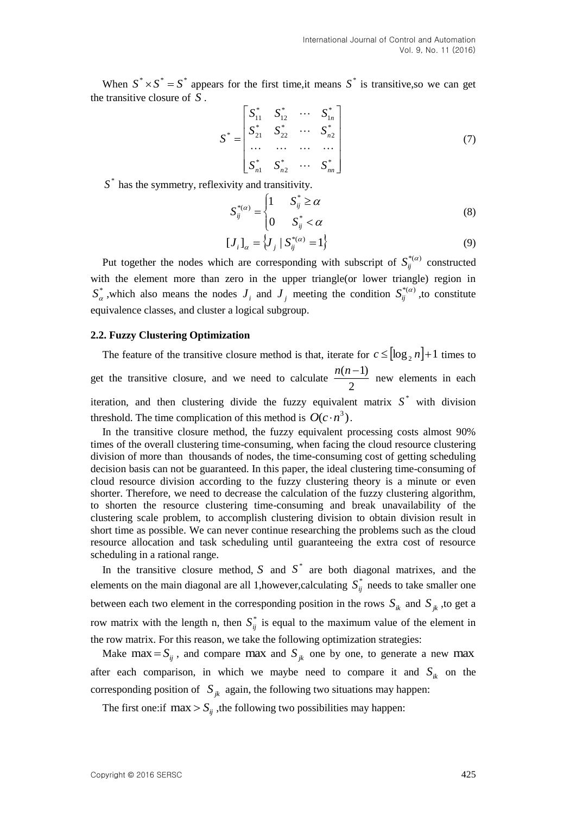When  $S^* \times S^* = S^*$  appears for the first time, it means  $S^*$  is transitive, so we can get the transitive closure of *S* .

$$
S^* = \begin{bmatrix} S_{11}^* & S_{12}^* & \cdots & S_{1n}^* \\ S_{21}^* & S_{22}^* & \cdots & S_{n2}^* \\ \cdots & \cdots & \cdots & \cdots \\ S_{n1}^* & S_{n2}^* & \cdots & S_{nn}^* \end{bmatrix}
$$
(7)

 $S^*$  has the symmetry, reflexivity and transitivity.

$$
S_{ij}^{*(\alpha)} = \begin{cases} 1 & S_{ij}^{*} \ge \alpha \\ 0 & S_{ij}^{*} < \alpha \end{cases}
$$
 (8)

$$
[J_i]_{\alpha} = \{J_j \mid S_{ij}^{*(\alpha)} = 1\}
$$
 (9)

Put together the nodes which are corresponding with subscript of  $S_{ij}^{*(\alpha)}$  constructed with the element more than zero in the upper triangle(or lower triangle) region in  $S^*_{\alpha}$ , which also means the nodes  $J_i$  and  $J_j$  meeting the condition  $S^{*(\alpha)}_{ij}$ , to constitute equivalence classes, and cluster a logical subgroup.

#### **2.2. Fuzzy Clustering Optimization**

The feature of the transitive closure method is that, iterate for  $c \leq [\log_2 n]+1$  times to get the transitive closure, and we need to calculate  $\frac{n(n+1)}{2}$  $\frac{n(n-1)}{2}$  new elements in each iteration, and then clustering divide the fuzzy equivalent matrix  $S^*$  with division threshold. The time complication of this method is  $O(c \cdot n^3)$ .

In the transitive closure method, the fuzzy equivalent processing costs almost 90% times of the overall clustering time-consuming, when facing the cloud resource clustering division of more than thousands of nodes, the time-consuming cost of getting scheduling decision basis can not be guaranteed. In this paper, the ideal clustering time-consuming of cloud resource division according to the fuzzy clustering theory is a minute or even shorter. Therefore, we need to decrease the calculation of the fuzzy clustering algorithm, to shorten the resource clustering time-consuming and break unavailability of the clustering scale problem, to accomplish clustering division to obtain division result in short time as possible. We can never continue researching the problems such as the cloud resource allocation and task scheduling until guaranteeing the extra cost of resource scheduling in a rational range.

In the transitive closure method,  $S$  and  $S^*$  are both diagonal matrixes, and the elements on the main diagonal are all 1, however, calculating  $S_{ij}^*$  needs to take smaller one between each two element in the corresponding position in the rows  $S_{ik}$  and  $S_{jk}$ , to get a row matrix with the length n, then  $S_{ij}^*$  is equal to the maximum value of the element in the row matrix. For this reason, we take the following optimization strategies:

Make max =  $S_{ij}$ , and compare max and  $S_{jk}$  one by one, to generate a new max after each comparison, in which we maybe need to compare it and  $S_{ik}$  on the corresponding position of  $S_{jk}$  again, the following two situations may happen:

The first one:if  $\max > S_{ij}$ , the following two possibilities may happen: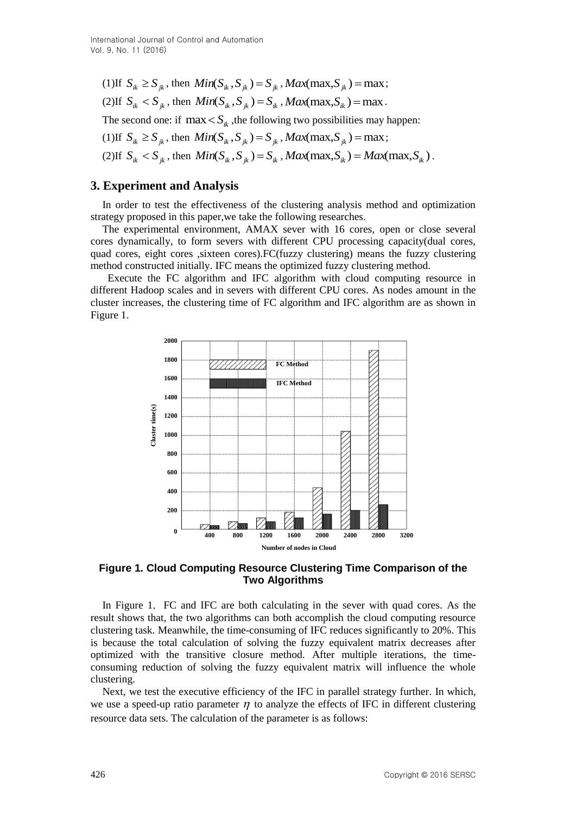$(1)$ If  $S_{ik} \geq S_{jk}$ , then  $Min(S_{ik}, S_{jk}) = S_{jk}$ ,  $Max(max, S_{jk}) = max;$  $(2)$ If  $S_{ik} < S_{jk}$ , then  $Min(S_{ik}, S_{jk}) = S_{ik}$ ,  $Max(max, S_{ik}) = max$ . The second one: if  $\max < S_{ik}$ , the following two possibilities may happen:  $(1)$ If  $S_{ik} \geq S_{jk}$ , then  $Min(S_{ik}, S_{jk}) = S_{jk}$ ,  $Max(max, S_{jk}) = max;$  $(S_i)$  *S i<sub>k</sub>*  $\langle S_{ik}, S_{jk}, \text{ then } Min(S_{ik}, S_{jk}) = S_{ik}$ ,  $Max(max, S_{ik}) = Max(max, S_{ik})$ .

# **3. Experiment and Analysis**

In order to test the effectiveness of the clustering analysis method and optimization strategy proposed in this paper,we take the following researches.

The experimental environment, AMAX sever with 16 cores, open or close several cores dynamically, to form severs with different CPU processing capacity(dual cores, quad cores, eight cores , sixteen cores). FC(fuzzy clustering) means the fuzzy clustering method constructed initially. IFC means the optimized fuzzy clustering method.

 Execute the FC algorithm and IFC algorithm with cloud computing resource in different Hadoop scales and in severs with different CPU cores. As nodes amount in the cluster increases, the clustering time of FC algorithm and IFC algorithm are as shown in Figure 1.



**Figure 1. Cloud Computing Resource Clustering Time Comparison of the Two Algorithms**

In Figure 1, FC and IFC are both calculating in the sever with quad cores. As the result shows that, the two algorithms can both accomplish the cloud computing resource clustering task. Meanwhile, the time-consuming of IFC reduces significantly to 20%. This is because the total calculation of solving the fuzzy equivalent matrix decreases after optimized with the transitive closure method. After multiple iterations, the timeconsuming reduction of solving the fuzzy equivalent matrix will influence the whole clustering.

Next, we test the executive efficiency of the IFC in parallel strategy further. In which, we use a speed-up ratio parameter  $\eta$  to analyze the effects of IFC in different clustering resource data sets. The calculation of the parameter is as follows: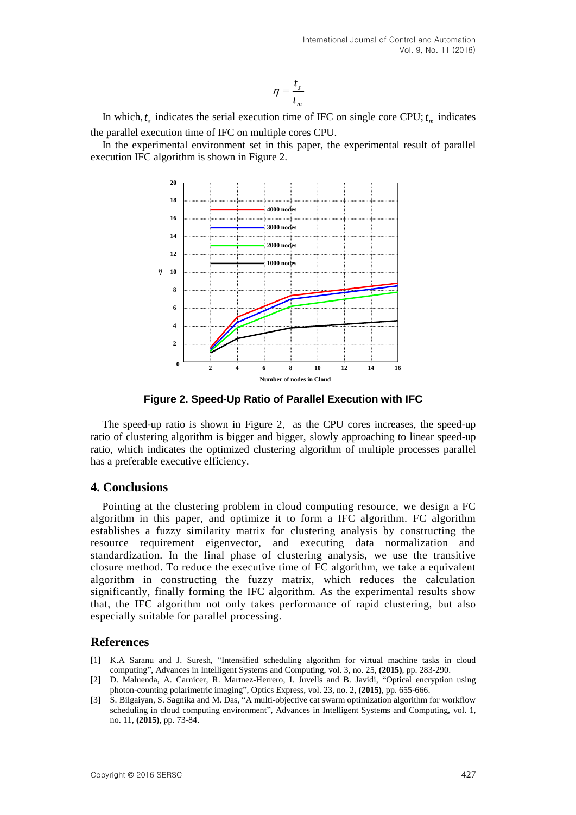$$
\eta = \frac{t_s}{t_m}
$$

In which,  $t_s$  indicates the serial execution time of IFC on single core CPU;  $t_m$  indicates the parallel execution time of IFC on multiple cores CPU.

In the experimental environment set in this paper, the experimental result of parallel execution IFC algorithm is shown in Figure 2.



**Figure 2. Speed-Up Ratio of Parallel Execution with IFC**

The speed-up ratio is shown in Figure 2, as the CPU cores increases, the speed-up ratio of clustering algorithm is bigger and bigger, slowly approaching to linear speed-up ratio, which indicates the optimized clustering algorithm of multiple processes parallel has a preferable executive efficiency.

## **4. Conclusions**

Pointing at the clustering problem in cloud computing resource, we design a FC algorithm in this paper, and optimize it to form a IFC algorithm. FC algorithm establishes a fuzzy similarity matrix for clustering analysis by constructing the resource requirement eigenvector, and executing data normalization and standardization. In the final phase of clustering analysis, we use the transitive closure method. To reduce the executive time of FC algorithm, we take a equivalent algorithm in constructing the fuzzy matrix, which reduces the calculation significantly, finally forming the IFC algorithm. As the experimental results show that, the IFC algorithm not only takes performance of rapid clustering, but also especially suitable for parallel processing.

### **References**

- [1] K.A Saranu and J. Suresh, "Intensified scheduling algorithm for virtual machine tasks in cloud computing", Advances in Intelligent Systems and Computing, vol. 3, no. 25, **(2015)**, pp. 283-290.
- [2] D. Maluenda, A. Carnicer, R. Martnez-Herrero, I. Juvells and B. Javidi, "Optical encryption using photon-counting polarimetric imaging", Optics Express, vol. 23, no. 2, **(2015)**, pp. 655-666.
- [3] S. Bilgaiyan, S. Sagnika and M. Das, "A multi-objective cat swarm optimization algorithm for workflow scheduling in cloud computing environment", Advances in Intelligent Systems and Computing, vol. 1, no. 11, **(2015)**, pp. 73-84.